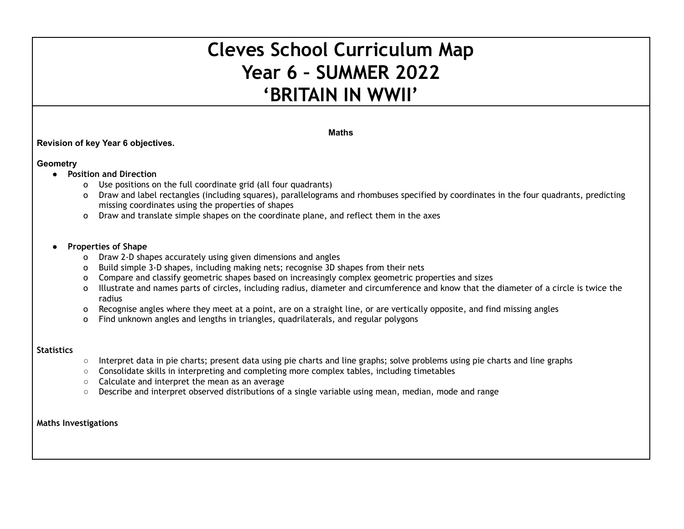# **Cleves School Curriculum Map Year 6 – SUMMER 2022 'BRITAIN IN WWII'**

#### **Maths**

## **Revision of key Year 6 objectives.**

#### **Geometry**

- **● Position and Direction**
	- o Use positions on the full coordinate grid (all four quadrants)
	- o Draw and label rectangles (including squares), parallelograms and rhombuses specified by coordinates in the four quadrants, predicting missing coordinates using the properties of shapes
	- o Draw and translate simple shapes on the coordinate plane, and reflect them in the axes

#### **● Properties of Shape**

- o Draw 2-D shapes accurately using given dimensions and angles
- o Build simple 3-D shapes, including making nets; recognise 3D shapes from their nets
- o Compare and classify geometric shapes based on increasingly complex geometric properties and sizes
- o Illustrate and names parts of circles, including radius, diameter and circumference and know that the diameter of a circle is twice the radius
- o Recognise angles where they meet at a point, are on a straight line, or are vertically opposite, and find missing angles
- o Find unknown angles and lengths in triangles, quadrilaterals, and regular polygons

### **Statistics**

- Interpret data in pie charts; present data using pie charts and line graphs; solve problems using pie charts and line graphs
- Consolidate skills in interpreting and completing more complex tables, including timetables
- Calculate and interpret the mean as an average
- Describe and interpret observed distributions of a single variable using mean, median, mode and range

**Maths Investigations**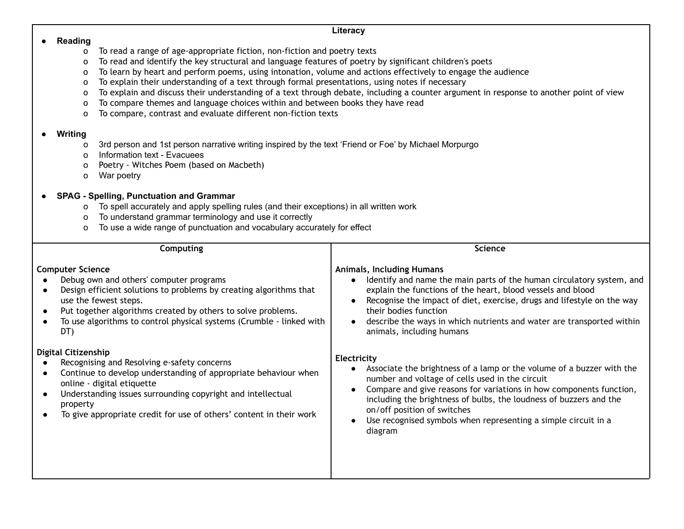| To read a range of age-appropriate fiction, non-fiction and poetry texts<br>O<br>To read and identify the key structural and language features of poetry by significant children's poets<br>O<br>To learn by heart and perform poems, using intonation, volume and actions effectively to engage the audience<br>O<br>To explain their understanding of a text through formal presentations, using notes if necessary<br>$\circ$<br>To explain and discuss their understanding of a text through debate, including a counter argument in response to another point of view<br>O<br>To compare themes and language choices within and between books they have read<br>O<br>To compare, contrast and evaluate different non-fiction texts<br>$\Omega$                                                                                                    |  |  |  |  |
|--------------------------------------------------------------------------------------------------------------------------------------------------------------------------------------------------------------------------------------------------------------------------------------------------------------------------------------------------------------------------------------------------------------------------------------------------------------------------------------------------------------------------------------------------------------------------------------------------------------------------------------------------------------------------------------------------------------------------------------------------------------------------------------------------------------------------------------------------------|--|--|--|--|
| 3rd person and 1st person narrative writing inspired by the text 'Friend or Foe' by Michael Morpurgo<br>To spell accurately and apply spelling rules (and their exceptions) in all written work<br>To use a wide range of punctuation and vocabulary accurately for effect                                                                                                                                                                                                                                                                                                                                                                                                                                                                                                                                                                             |  |  |  |  |
| <b>Science</b>                                                                                                                                                                                                                                                                                                                                                                                                                                                                                                                                                                                                                                                                                                                                                                                                                                         |  |  |  |  |
| <b>Animals, Including Humans</b><br>Identify and name the main parts of the human circulatory system, and<br>explain the functions of the heart, blood vessels and blood<br>Recognise the impact of diet, exercise, drugs and lifestyle on the way<br>$\bullet$<br>their bodies function<br>describe the ways in which nutrients and water are transported within<br>$\bullet$<br>animals, including humans<br>Electricity<br>Associate the brightness of a lamp or the volume of a buzzer with the<br>$\bullet$<br>number and voltage of cells used in the circuit<br>Compare and give reasons for variations in how components function,<br>$\bullet$<br>including the brightness of bulbs, the loudness of buzzers and the<br>on/off position of switches<br>Use recognised symbols when representing a simple circuit in a<br>$\bullet$<br>diagram |  |  |  |  |
|                                                                                                                                                                                                                                                                                                                                                                                                                                                                                                                                                                                                                                                                                                                                                                                                                                                        |  |  |  |  |

**Literacy**

● **Reading**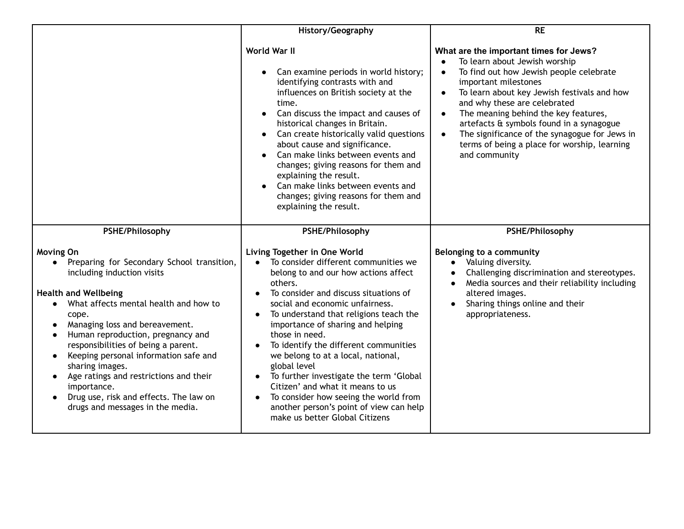|                                                                                                                                                                                                                                                                                                                                                                                                                                                                                                                                                          | History/Geography                                                                                                                                                                                                                                                                                                                                                                                                                                                                                                                                                                                                                                            | <b>RE</b>                                                                                                                                                                                                                                                                                                                                                                                                                                                                           |
|----------------------------------------------------------------------------------------------------------------------------------------------------------------------------------------------------------------------------------------------------------------------------------------------------------------------------------------------------------------------------------------------------------------------------------------------------------------------------------------------------------------------------------------------------------|--------------------------------------------------------------------------------------------------------------------------------------------------------------------------------------------------------------------------------------------------------------------------------------------------------------------------------------------------------------------------------------------------------------------------------------------------------------------------------------------------------------------------------------------------------------------------------------------------------------------------------------------------------------|-------------------------------------------------------------------------------------------------------------------------------------------------------------------------------------------------------------------------------------------------------------------------------------------------------------------------------------------------------------------------------------------------------------------------------------------------------------------------------------|
|                                                                                                                                                                                                                                                                                                                                                                                                                                                                                                                                                          | World War II<br>Can examine periods in world history;<br>identifying contrasts with and<br>influences on British society at the<br>time.<br>Can discuss the impact and causes of<br>historical changes in Britain.<br>Can create historically valid questions<br>about cause and significance.<br>Can make links between events and<br>changes; giving reasons for them and<br>explaining the result.<br>Can make links between events and<br>changes; giving reasons for them and<br>explaining the result.                                                                                                                                                 | What are the important times for Jews?<br>To learn about Jewish worship<br>To find out how Jewish people celebrate<br>$\bullet$<br>important milestones<br>To learn about key Jewish festivals and how<br>$\bullet$<br>and why these are celebrated<br>The meaning behind the key features,<br>$\bullet$<br>artefacts & symbols found in a synagogue<br>The significance of the synagogue for Jews in<br>$\bullet$<br>terms of being a place for worship, learning<br>and community |
| PSHE/Philosophy                                                                                                                                                                                                                                                                                                                                                                                                                                                                                                                                          | PSHE/Philosophy                                                                                                                                                                                                                                                                                                                                                                                                                                                                                                                                                                                                                                              | PSHE/Philosophy                                                                                                                                                                                                                                                                                                                                                                                                                                                                     |
| Moving On<br>Preparing for Secondary School transition,<br>$\bullet$<br>including induction visits<br><b>Health and Wellbeing</b><br>What affects mental health and how to<br>cope.<br>Managing loss and bereavement.<br>$\bullet$<br>Human reproduction, pregnancy and<br>$\bullet$<br>responsibilities of being a parent.<br>Keeping personal information safe and<br>$\bullet$<br>sharing images.<br>Age ratings and restrictions and their<br>$\bullet$<br>importance.<br>Drug use, risk and effects. The law on<br>drugs and messages in the media. | Living Together in One World<br>To consider different communities we<br>$\bullet$<br>belong to and our how actions affect<br>others.<br>To consider and discuss situations of<br>$\bullet$<br>social and economic unfairness.<br>To understand that religions teach the<br>$\bullet$<br>importance of sharing and helping<br>those in need.<br>To identify the different communities<br>we belong to at a local, national,<br>global level<br>To further investigate the term 'Global<br>$\bullet$<br>Citizen' and what it means to us<br>To consider how seeing the world from<br>another person's point of view can help<br>make us better Global Citizens | Belonging to a community<br>Valuing diversity.<br>$\bullet$<br>Challenging discrimination and stereotypes.<br>$\bullet$<br>Media sources and their reliability including<br>altered images.<br>Sharing things online and their<br>appropriateness.                                                                                                                                                                                                                                  |